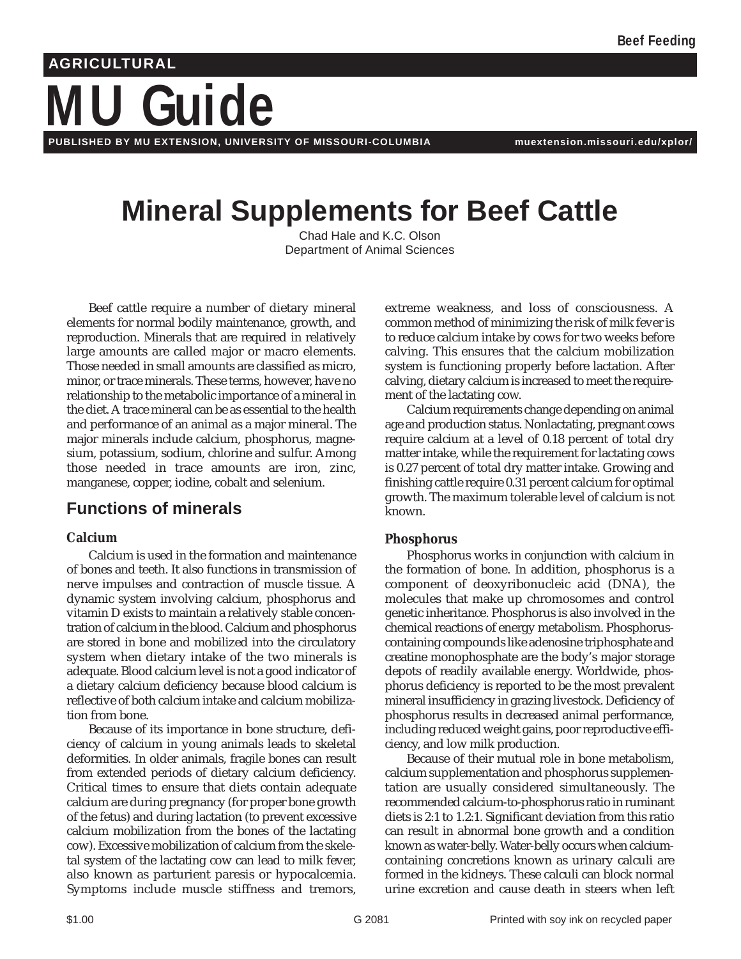# **MU Guide AGRICULTURAL**

**PUBLISHED BY MU EXTENSION, UNIVERSITY OF MISSOURI-COLUMBIA muextension.missouri.edu/xplor/**

## **Mineral Supplements for Beef Cattle**

Chad Hale and K.C. Olson Department of Animal Sciences

Beef cattle require a number of dietary mineral elements for normal bodily maintenance, growth, and reproduction. Minerals that are required in relatively large amounts are called major or macro elements. Those needed in small amounts are classified as micro, minor, or trace minerals. These terms, however, have no relationship to the metabolic importance of a mineral in the diet. A trace mineral can be as essential to the health and performance of an animal as a major mineral. The major minerals include calcium, phosphorus, magnesium, potassium, sodium, chlorine and sulfur. Among those needed in trace amounts are iron, zinc, manganese, copper, iodine, cobalt and selenium.

## **Functions of minerals**

#### **Calcium**

Calcium is used in the formation and maintenance of bones and teeth. It also functions in transmission of nerve impulses and contraction of muscle tissue. A dynamic system involving calcium, phosphorus and vitamin D exists to maintain a relatively stable concentration of calcium in the blood. Calcium and phosphorus are stored in bone and mobilized into the circulatory system when dietary intake of the two minerals is adequate. Blood calcium level is not a good indicator of a dietary calcium deficiency because blood calcium is reflective of both calcium intake and calcium mobilization from bone.

Because of its importance in bone structure, deficiency of calcium in young animals leads to skeletal deformities. In older animals, fragile bones can result from extended periods of dietary calcium deficiency. Critical times to ensure that diets contain adequate calcium are during pregnancy (for proper bone growth of the fetus) and during lactation (to prevent excessive calcium mobilization from the bones of the lactating cow). Excessive mobilization of calcium from the skeletal system of the lactating cow can lead to milk fever, also known as parturient paresis or hypocalcemia. Symptoms include muscle stiffness and tremors, extreme weakness, and loss of consciousness. A common method of minimizing the risk of milk fever is to reduce calcium intake by cows for two weeks before calving. This ensures that the calcium mobilization system is functioning properly before lactation. After calving, dietary calcium is increased to meet the requirement of the lactating cow.

Calcium requirements change depending on animal age and production status. Nonlactating, pregnant cows require calcium at a level of 0.18 percent of total dry matter intake, while the requirement for lactating cows is 0.27 percent of total dry matter intake. Growing and finishing cattle require 0.31 percent calcium for optimal growth. The maximum tolerable level of calcium is not known.

#### **Phosphorus**

Phosphorus works in conjunction with calcium in the formation of bone. In addition, phosphorus is a component of deoxyribonucleic acid (DNA), the molecules that make up chromosomes and control genetic inheritance. Phosphorus is also involved in the chemical reactions of energy metabolism. Phosphoruscontaining compounds like adenosine triphosphate and creatine monophosphate are the body's major storage depots of readily available energy. Worldwide, phosphorus deficiency is reported to be the most prevalent mineral insufficiency in grazing livestock. Deficiency of phosphorus results in decreased animal performance, including reduced weight gains, poor reproductive efficiency, and low milk production.

Because of their mutual role in bone metabolism, calcium supplementation and phosphorus supplementation are usually considered simultaneously. The recommended calcium-to-phosphorus ratio in ruminant diets is 2:1 to 1.2:1. Significant deviation from this ratio can result in abnormal bone growth and a condition known as water-belly. Water-belly occurs when calciumcontaining concretions known as urinary calculi are formed in the kidneys. These calculi can block normal urine excretion and cause death in steers when left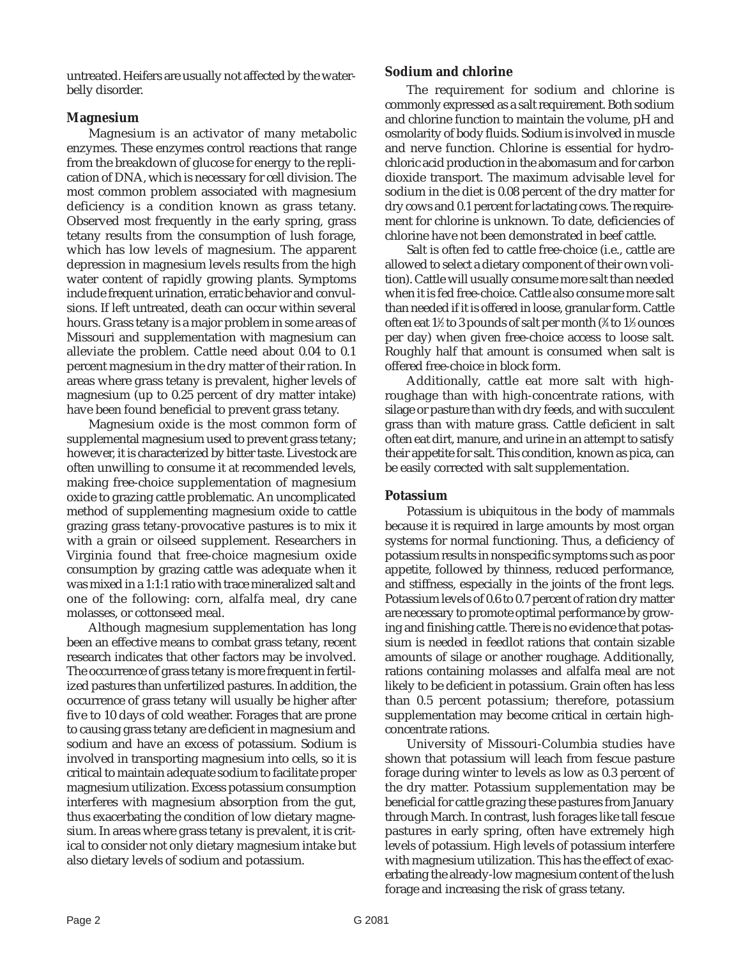untreated. Heifers are usually not affected by the waterbelly disorder.

#### **Magnesium**

Magnesium is an activator of many metabolic enzymes. These enzymes control reactions that range from the breakdown of glucose for energy to the replication of DNA, which is necessary for cell division. The most common problem associated with magnesium deficiency is a condition known as grass tetany. Observed most frequently in the early spring, grass tetany results from the consumption of lush forage, which has low levels of magnesium. The apparent depression in magnesium levels results from the high water content of rapidly growing plants. Symptoms include frequent urination, erratic behavior and convulsions. If left untreated, death can occur within several hours. Grass tetany is a major problem in some areas of Missouri and supplementation with magnesium can alleviate the problem. Cattle need about 0.04 to 0.1 percent magnesium in the dry matter of their ration. In areas where grass tetany is prevalent, higher levels of magnesium (up to 0.25 percent of dry matter intake) have been found beneficial to prevent grass tetany.

Magnesium oxide is the most common form of supplemental magnesium used to prevent grass tetany; however, it is characterized by bitter taste. Livestock are often unwilling to consume it at recommended levels, making free-choice supplementation of magnesium oxide to grazing cattle problematic. An uncomplicated method of supplementing magnesium oxide to cattle grazing grass tetany-provocative pastures is to mix it with a grain or oilseed supplement. Researchers in Virginia found that free-choice magnesium oxide consumption by grazing cattle was adequate when it was mixed in a 1:1:1 ratio with trace mineralized salt and one of the following: corn, alfalfa meal, dry cane molasses, or cottonseed meal.

Although magnesium supplementation has long been an effective means to combat grass tetany, recent research indicates that other factors may be involved. The occurrence of grass tetany is more frequent in fertilized pastures than unfertilized pastures. In addition, the occurrence of grass tetany will usually be higher after five to 10 days of cold weather. Forages that are prone to causing grass tetany are deficient in magnesium and sodium and have an excess of potassium. Sodium is involved in transporting magnesium into cells, so it is critical to maintain adequate sodium to facilitate proper magnesium utilization. Excess potassium consumption interferes with magnesium absorption from the gut, thus exacerbating the condition of low dietary magnesium. In areas where grass tetany is prevalent, it is critical to consider not only dietary magnesium intake but also dietary levels of sodium and potassium.

#### **Sodium and chlorine**

The requirement for sodium and chlorine is commonly expressed as a salt requirement. Both sodium and chlorine function to maintain the volume, pH and osmolarity of body fluids. Sodium is involved in muscle and nerve function. Chlorine is essential for hydrochloric acid production in the abomasum and for carbon dioxide transport. The maximum advisable level for sodium in the diet is 0.08 percent of the dry matter for dry cows and 0.1 percent for lactating cows. The requirement for chlorine is unknown. To date, deficiencies of chlorine have not been demonstrated in beef cattle.

Salt is often fed to cattle free-choice (i.e., cattle are allowed to select a dietary component of their own volition). Cattle will usually consume more salt than needed when it is fed free-choice. Cattle also consume more salt than needed if it is offered in loose, granular form. Cattle often eat 1½ to 3 pounds of salt per month (¾ to 1½ ounces per day) when given free-choice access to loose salt. Roughly half that amount is consumed when salt is offered free-choice in block form.

Additionally, cattle eat more salt with highroughage than with high-concentrate rations, with silage or pasture than with dry feeds, and with succulent grass than with mature grass. Cattle deficient in salt often eat dirt, manure, and urine in an attempt to satisfy their appetite for salt. This condition, known as pica, can be easily corrected with salt supplementation.

#### **Potassium**

Potassium is ubiquitous in the body of mammals because it is required in large amounts by most organ systems for normal functioning. Thus, a deficiency of potassium results in nonspecific symptoms such as poor appetite, followed by thinness, reduced performance, and stiffness, especially in the joints of the front legs. Potassium levels of 0.6 to 0.7 percent of ration dry matter are necessary to promote optimal performance by growing and finishing cattle. There is no evidence that potassium is needed in feedlot rations that contain sizable amounts of silage or another roughage. Additionally, rations containing molasses and alfalfa meal are not likely to be deficient in potassium. Grain often has less than 0.5 percent potassium; therefore, potassium supplementation may become critical in certain highconcentrate rations.

University of Missouri-Columbia studies have shown that potassium will leach from fescue pasture forage during winter to levels as low as 0.3 percent of the dry matter. Potassium supplementation may be beneficial for cattle grazing these pastures from January through March. In contrast, lush forages like tall fescue pastures in early spring, often have extremely high levels of potassium. High levels of potassium interfere with magnesium utilization. This has the effect of exacerbating the already-low magnesium content of the lush forage and increasing the risk of grass tetany.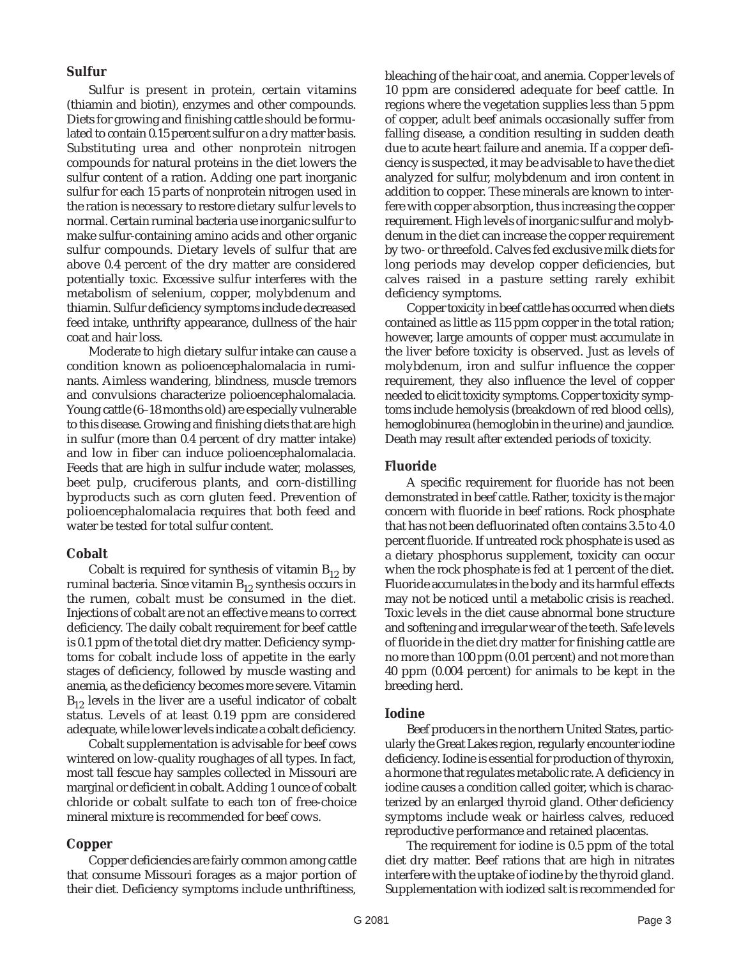#### **Sulfur**

Sulfur is present in protein, certain vitamins (thiamin and biotin), enzymes and other compounds. Diets for growing and finishing cattle should be formulated to contain 0.15 percent sulfur on a dry matter basis. Substituting urea and other nonprotein nitrogen compounds for natural proteins in the diet lowers the sulfur content of a ration. Adding one part inorganic sulfur for each 15 parts of nonprotein nitrogen used in the ration is necessary to restore dietary sulfur levels to normal. Certain ruminal bacteria use inorganic sulfur to make sulfur-containing amino acids and other organic sulfur compounds. Dietary levels of sulfur that are above 0.4 percent of the dry matter are considered potentially toxic. Excessive sulfur interferes with the metabolism of selenium, copper, molybdenum and thiamin. Sulfur deficiency symptoms include decreased feed intake, unthrifty appearance, dullness of the hair coat and hair loss.

Moderate to high dietary sulfur intake can cause a condition known as polioencephalomalacia in ruminants. Aimless wandering, blindness, muscle tremors and convulsions characterize polioencephalomalacia. Young cattle (6–18 months old) are especially vulnerable to this disease. Growing and finishing diets that are high in sulfur (more than 0.4 percent of dry matter intake) and low in fiber can induce polioencephalomalacia. Feeds that are high in sulfur include water, molasses, beet pulp, cruciferous plants, and corn-distilling byproducts such as corn gluten feed. Prevention of polioencephalomalacia requires that both feed and water be tested for total sulfur content.

#### **Cobalt**

Cobalt is required for synthesis of vitamin  $B_{12}$  by ruminal bacteria. Since vitamin  $B_{12}$  synthesis occurs in the rumen, cobalt must be consumed in the diet. Injections of cobalt are not an effective means to correct deficiency. The daily cobalt requirement for beef cattle is 0.1 ppm of the total diet dry matter. Deficiency symptoms for cobalt include loss of appetite in the early stages of deficiency, followed by muscle wasting and anemia, as the deficiency becomes more severe. Vitamin  $B_{12}$  levels in the liver are a useful indicator of cobalt status. Levels of at least 0.19 ppm are considered adequate, while lower levels indicate a cobalt deficiency.

Cobalt supplementation is advisable for beef cows wintered on low-quality roughages of all types. In fact, most tall fescue hay samples collected in Missouri are marginal or deficient in cobalt. Adding 1 ounce of cobalt chloride or cobalt sulfate to each ton of free-choice mineral mixture is recommended for beef cows.

#### **Copper**

Copper deficiencies are fairly common among cattle that consume Missouri forages as a major portion of their diet. Deficiency symptoms include unthriftiness,

bleaching of the hair coat, and anemia. Copper levels of 10 ppm are considered adequate for beef cattle. In regions where the vegetation supplies less than 5 ppm of copper, adult beef animals occasionally suffer from falling disease, a condition resulting in sudden death due to acute heart failure and anemia. If a copper deficiency is suspected, it may be advisable to have the diet analyzed for sulfur, molybdenum and iron content in addition to copper. These minerals are known to interfere with copper absorption, thus increasing the copper requirement. High levels of inorganic sulfur and molybdenum in the diet can increase the copper requirement by two- or threefold. Calves fed exclusive milk diets for long periods may develop copper deficiencies, but calves raised in a pasture setting rarely exhibit deficiency symptoms.

Copper toxicity in beef cattle has occurred when diets contained as little as 115 ppm copper in the total ration; however, large amounts of copper must accumulate in the liver before toxicity is observed. Just as levels of molybdenum, iron and sulfur influence the copper requirement, they also influence the level of copper needed to elicit toxicity symptoms. Copper toxicity symptoms include hemolysis (breakdown of red blood cells), hemoglobinurea (hemoglobin in the urine) and jaundice. Death may result after extended periods of toxicity.

#### **Fluoride**

A specific requirement for fluoride has not been demonstrated in beef cattle. Rather, toxicity is the major concern with fluoride in beef rations. Rock phosphate that has not been defluorinated often contains 3.5 to 4.0 percent fluoride. If untreated rock phosphate is used as a dietary phosphorus supplement, toxicity can occur when the rock phosphate is fed at 1 percent of the diet. Fluoride accumulates in the body and its harmful effects may not be noticed until a metabolic crisis is reached. Toxic levels in the diet cause abnormal bone structure and softening and irregular wear of the teeth. Safe levels of fluoride in the diet dry matter for finishing cattle are no more than 100 ppm (0.01 percent) and not more than 40 ppm (0.004 percent) for animals to be kept in the breeding herd.

#### **Iodine**

Beef producers in the northern United States, particularly the Great Lakes region, regularly encounter iodine deficiency. Iodine is essential for production of thyroxin, a hormone that regulates metabolic rate. A deficiency in iodine causes a condition called goiter, which is characterized by an enlarged thyroid gland. Other deficiency symptoms include weak or hairless calves, reduced reproductive performance and retained placentas.

The requirement for iodine is 0.5 ppm of the total diet dry matter. Beef rations that are high in nitrates interfere with the uptake of iodine by the thyroid gland. Supplementation with iodized salt is recommended for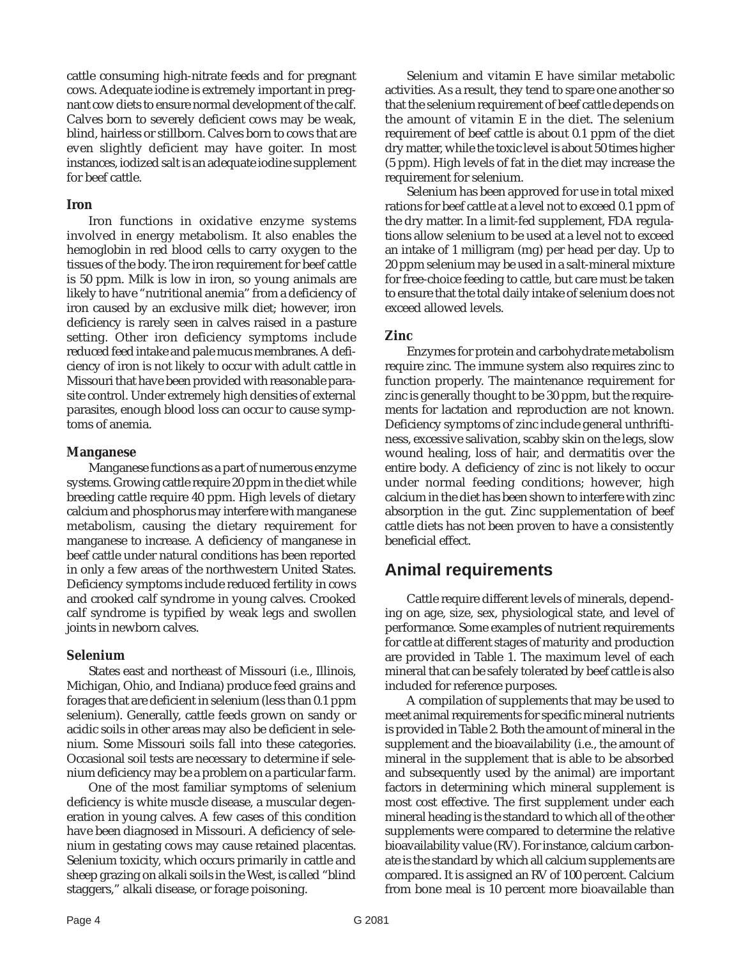cattle consuming high-nitrate feeds and for pregnant cows. Adequate iodine is extremely important in pregnant cow diets to ensure normal development of the calf. Calves born to severely deficient cows may be weak, blind, hairless or stillborn. Calves born to cows that are even slightly deficient may have goiter. In most instances, iodized salt is an adequate iodine supplement for beef cattle.

#### **Iron**

Iron functions in oxidative enzyme systems involved in energy metabolism. It also enables the hemoglobin in red blood cells to carry oxygen to the tissues of the body. The iron requirement for beef cattle is 50 ppm. Milk is low in iron, so young animals are likely to have "nutritional anemia" from a deficiency of iron caused by an exclusive milk diet; however, iron deficiency is rarely seen in calves raised in a pasture setting. Other iron deficiency symptoms include reduced feed intake and pale mucus membranes. A deficiency of iron is not likely to occur with adult cattle in Missouri that have been provided with reasonable parasite control. Under extremely high densities of external parasites, enough blood loss can occur to cause symptoms of anemia.

#### **Manganese**

Manganese functions as a part of numerous enzyme systems. Growing cattle require 20 ppm in the diet while breeding cattle require 40 ppm. High levels of dietary calcium and phosphorus may interfere with manganese metabolism, causing the dietary requirement for manganese to increase. A deficiency of manganese in beef cattle under natural conditions has been reported in only a few areas of the northwestern United States. Deficiency symptoms include reduced fertility in cows and crooked calf syndrome in young calves. Crooked calf syndrome is typified by weak legs and swollen joints in newborn calves.

#### **Selenium**

States east and northeast of Missouri (i.e., Illinois, Michigan, Ohio, and Indiana) produce feed grains and forages that are deficient in selenium (less than 0.1 ppm selenium). Generally, cattle feeds grown on sandy or acidic soils in other areas may also be deficient in selenium. Some Missouri soils fall into these categories. Occasional soil tests are necessary to determine if selenium deficiency may be a problem on a particular farm.

One of the most familiar symptoms of selenium deficiency is white muscle disease, a muscular degeneration in young calves. A few cases of this condition have been diagnosed in Missouri. A deficiency of selenium in gestating cows may cause retained placentas. Selenium toxicity, which occurs primarily in cattle and sheep grazing on alkali soils in the West, is called "blind staggers," alkali disease, or forage poisoning.

Selenium and vitamin E have similar metabolic activities. As a result, they tend to spare one another so that the selenium requirement of beef cattle depends on the amount of vitamin E in the diet. The selenium requirement of beef cattle is about 0.1 ppm of the diet dry matter, while the toxic level is about 50 times higher (5 ppm). High levels of fat in the diet may increase the requirement for selenium.

Selenium has been approved for use in total mixed rations for beef cattle at a level not to exceed 0.1 ppm of the dry matter. In a limit-fed supplement, FDA regulations allow selenium to be used at a level not to exceed an intake of 1 milligram (mg) per head per day. Up to 20 ppm selenium may be used in a salt-mineral mixture for free-choice feeding to cattle, but care must be taken to ensure that the total daily intake of selenium does not exceed allowed levels.

#### **Zinc**

Enzymes for protein and carbohydrate metabolism require zinc. The immune system also requires zinc to function properly. The maintenance requirement for zinc is generally thought to be 30 ppm, but the requirements for lactation and reproduction are not known. Deficiency symptoms of zinc include general unthriftiness, excessive salivation, scabby skin on the legs, slow wound healing, loss of hair, and dermatitis over the entire body. A deficiency of zinc is not likely to occur under normal feeding conditions; however, high calcium in the diet has been shown to interfere with zinc absorption in the gut. Zinc supplementation of beef cattle diets has not been proven to have a consistently beneficial effect.

## **Animal requirements**

Cattle require different levels of minerals, depending on age, size, sex, physiological state, and level of performance. Some examples of nutrient requirements for cattle at different stages of maturity and production are provided in Table 1. The maximum level of each mineral that can be safely tolerated by beef cattle is also included for reference purposes.

A compilation of supplements that may be used to meet animal requirements for specific mineral nutrients is provided in Table 2. Both the amount of mineral in the supplement and the bioavailability (i.e., the amount of mineral in the supplement that is able to be absorbed and subsequently used by the animal) are important factors in determining which mineral supplement is most cost effective. The first supplement under each mineral heading is the standard to which all of the other supplements were compared to determine the relative bioavailability value (RV). For instance, calcium carbonate is the standard by which all calcium supplements are compared. It is assigned an RV of 100 percent. Calcium from bone meal is 10 percent more bioavailable than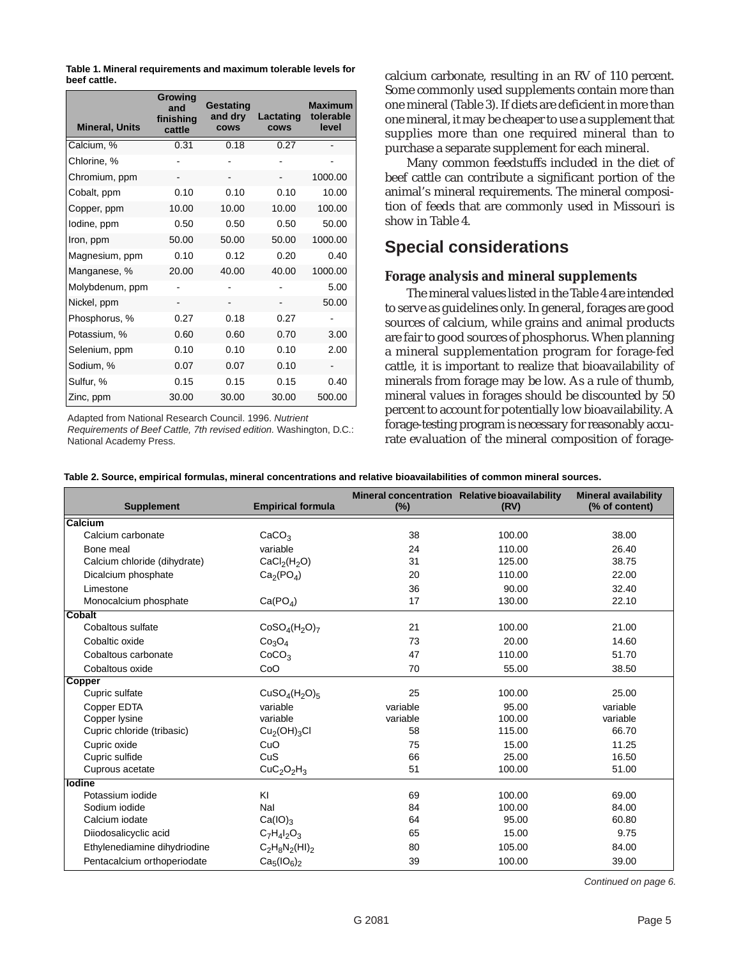**Table 1. Mineral requirements and maximum tolerable levels for beef cattle.**

| <b>Mineral, Units</b> | Growing<br>and<br>finishing<br>cattle | Gestating<br>and dry<br><b>COWS</b> | Lactating<br><b>COWS</b> | <b>Maximum</b><br>tolerable<br>level |
|-----------------------|---------------------------------------|-------------------------------------|--------------------------|--------------------------------------|
| Calcium, %            | 0.31                                  | 0.18                                | 0.27                     |                                      |
| Chlorine, %           |                                       |                                     |                          |                                      |
| Chromium, ppm         |                                       |                                     | -                        | 1000.00                              |
| Cobalt, ppm           | 0.10                                  | 0.10                                | 0.10                     | 10.00                                |
| Copper, ppm           | 10.00                                 | 10.00                               | 10.00                    | 100.00                               |
| lodine, ppm           | 0.50                                  | 0.50                                | 0.50                     | 50.00                                |
| Iron, ppm             | 50.00                                 | 50.00                               | 50.00                    | 1000.00                              |
| Magnesium, ppm        | 0.10                                  | 0.12                                | 0.20                     | 0.40                                 |
| Manganese, %          | 20.00                                 | 40.00                               | 40.00                    | 1000.00                              |
| Molybdenum, ppm       |                                       |                                     |                          | 5.00                                 |
| Nickel, ppm           |                                       |                                     |                          | 50.00                                |
| Phosphorus, %         | 0.27                                  | 0.18                                | 0.27                     |                                      |
| Potassium, %          | 0.60                                  | 0.60                                | 0.70                     | 3.00                                 |
| Selenium, ppm         | 0.10                                  | 0.10                                | 0.10                     | 2.00                                 |
| Sodium, %             | 0.07                                  | 0.07                                | 0.10                     |                                      |
| Sulfur, %             | 0.15                                  | 0.15                                | 0.15                     | 0.40                                 |
| Zinc, ppm             | 30.00                                 | 30.00                               | 30.00                    | 500.00                               |

Adapted from National Research Council. 1996. Nutrient

Requirements of Beef Cattle, 7th revised edition. Washington, D.C.: National Academy Press.

calcium carbonate, resulting in an RV of 110 percent. Some commonly used supplements contain more than one mineral (Table 3). If diets are deficient in more than one mineral, it may be cheaper to use a supplement that supplies more than one required mineral than to purchase a separate supplement for each mineral.

Many common feedstuffs included in the diet of beef cattle can contribute a significant portion of the animal's mineral requirements. The mineral composition of feeds that are commonly used in Missouri is show in Table 4.

## **Special considerations**

#### **Forage analysis and mineral supplements**

The mineral values listed in the Table 4 are intended to serve as guidelines only. In general, forages are good sources of calcium, while grains and animal products are fair to good sources of phosphorus. When planning a mineral supplementation program for forage-fed cattle, it is important to realize that bioavailability of minerals from forage may be low. As a rule of thumb, mineral values in forages should be discounted by 50 percent to account for potentially low bioavailability. A forage-testing program is necessary for reasonably accurate evaluation of the mineral composition of forage-

|  |  | Table 2. Source, empirical formulas, mineral concentrations and relative bioavailabilities of common mineral sources. |
|--|--|-----------------------------------------------------------------------------------------------------------------------|
|  |  |                                                                                                                       |

| <b>Supplement</b>            | <b>Empirical formula</b>             |          | Mineral concentration Relative bioavailability<br>(RV) | <b>Mineral availability</b><br>(% of content) |  |
|------------------------------|--------------------------------------|----------|--------------------------------------------------------|-----------------------------------------------|--|
| Calcium                      |                                      |          |                                                        |                                               |  |
| Calcium carbonate            | CaCO <sub>3</sub>                    | 38       | 100.00                                                 | 38.00                                         |  |
| Bone meal                    | variable                             | 24       | 110.00                                                 | 26.40                                         |  |
| Calcium chloride (dihydrate) | CaCl <sub>2</sub> (H <sub>2</sub> O) | 31       | 125.00                                                 | 38.75                                         |  |
| Dicalcium phosphate          | Ca <sub>2</sub> (PO <sub>4</sub> )   | 20       | 110.00                                                 | 22.00                                         |  |
| Limestone                    |                                      | 36       | 90.00                                                  | 32.40                                         |  |
| Monocalcium phosphate        | Ca(PO <sub>4</sub> )                 | 17       | 130.00                                                 | 22.10                                         |  |
| Cobalt                       |                                      |          |                                                        |                                               |  |
| Cobaltous sulfate            | $CoSO4(H2O)7$                        | 21       | 100.00                                                 | 21.00                                         |  |
| Cobaltic oxide               | Co <sub>3</sub> O <sub>4</sub>       | 73       | 20.00                                                  | 14.60                                         |  |
| Cobaltous carbonate          | CoCO <sub>3</sub>                    | 47       | 110.00                                                 | 51.70                                         |  |
| Cobaltous oxide              | CoO                                  | 70       | 55.00                                                  | 38.50                                         |  |
| <b>Copper</b>                |                                      |          |                                                        |                                               |  |
| Cupric sulfate               | $CuSO4(H2O)5$                        | 25       | 100.00                                                 | 25.00                                         |  |
| Copper EDTA                  | variable                             | variable | 95.00                                                  | variable                                      |  |
| Copper lysine                | variable                             | variable | 100.00                                                 | variable                                      |  |
| Cupric chloride (tribasic)   | Cu <sub>2</sub> (OH) <sub>3</sub> Cl | 58       | 115.00                                                 | 66.70                                         |  |
| Cupric oxide                 | CuO                                  | 75       | 15.00                                                  | 11.25                                         |  |
| Cupric sulfide               | CuS                                  | 66       | 25.00                                                  | 16.50                                         |  |
| Cuprous acetate              | $CuC2O2H3$                           | 51       | 100.00                                                 | 51.00                                         |  |
| lodine                       |                                      |          |                                                        |                                               |  |
| Potassium iodide             | KI                                   | 69       | 100.00                                                 | 69.00                                         |  |
| Sodium iodide                | Nal                                  | 84       | 100.00                                                 | 84.00                                         |  |
| Calcium iodate               | $Ca(IO)_3$                           | 64       | 95.00                                                  | 60.80                                         |  |
| Diiodosalicyclic acid        | $C_7H_4I_2O_3$                       | 65       | 15.00                                                  | 9.75                                          |  |
| Ethylenediamine dihydriodine | $C_2H_8N_2(HI)_2$                    | 80       | 105.00                                                 | 84.00                                         |  |
| Pentacalcium orthoperiodate  | $Ca5(IO6)2$                          | 39       | 100.00                                                 | 39.00                                         |  |

Continued on page 6.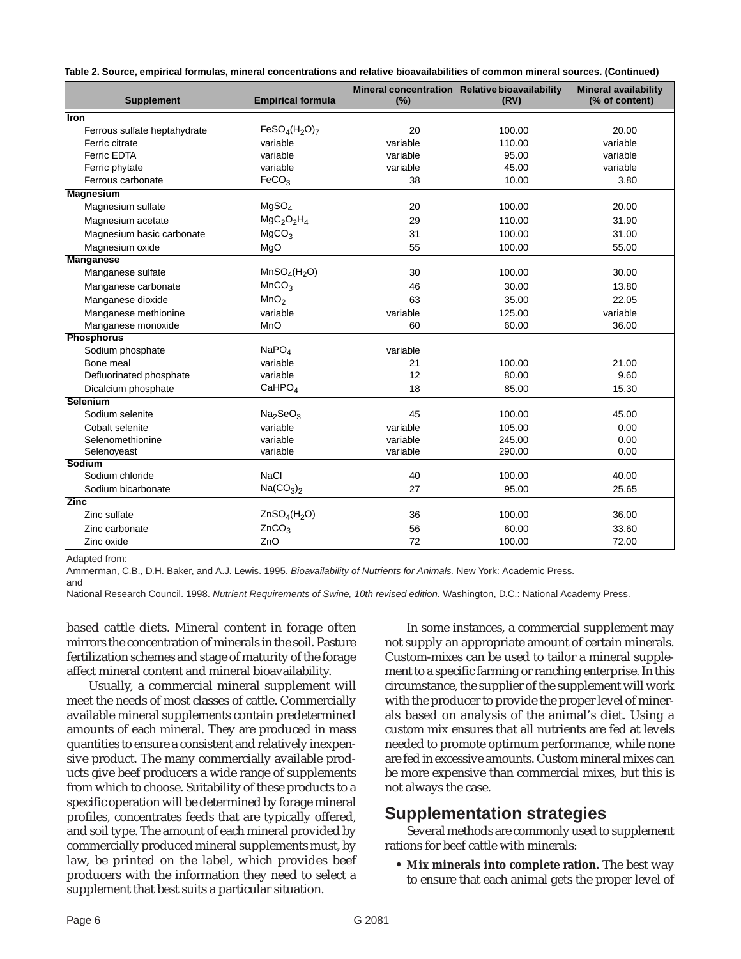**Table 2. Source, empirical formulas, mineral concentrations and relative bioavailabilities of common mineral sources. (Continued)**

| <b>Supplement</b>            | <b>Empirical formula</b>             | (%)      | Mineral concentration Relative bioavailability<br>(RV) | <b>Mineral availability</b><br>(% of content) |  |
|------------------------------|--------------------------------------|----------|--------------------------------------------------------|-----------------------------------------------|--|
| Iron                         |                                      |          |                                                        |                                               |  |
| Ferrous sulfate heptahydrate | $FeSO4(H2O)7$                        | 20       | 100.00                                                 | 20.00                                         |  |
| Ferric citrate               | variable                             | variable | 110.00                                                 | variable                                      |  |
| <b>Ferric EDTA</b>           | variable                             | variable | 95.00                                                  | variable                                      |  |
| Ferric phytate               | variable                             | variable | 45.00                                                  | variable                                      |  |
| Ferrous carbonate            | FeCO <sub>3</sub>                    | 38       | 10.00                                                  | 3.80                                          |  |
| <b>Magnesium</b>             |                                      |          |                                                        |                                               |  |
| Magnesium sulfate            | MgSO <sub>4</sub>                    | 20       | 100.00                                                 | 20.00                                         |  |
| Magnesium acetate            | $MgC_2O_2H_4$                        | 29       | 110.00                                                 | 31.90                                         |  |
| Magnesium basic carbonate    | MgCO <sub>3</sub>                    | 31       | 100.00                                                 | 31.00                                         |  |
| Magnesium oxide              | MgO                                  | 55       | 100.00                                                 | 55.00                                         |  |
| <b>Manganese</b>             |                                      |          |                                                        |                                               |  |
| Manganese sulfate            | MnSO <sub>4</sub> (H <sub>2</sub> O) | 30       | 100.00                                                 | 30.00                                         |  |
| Manganese carbonate          | MnCO <sub>3</sub>                    | 46       | 30.00                                                  | 13.80                                         |  |
| Manganese dioxide            | MnO <sub>2</sub>                     | 63       | 35.00                                                  | 22.05                                         |  |
| Manganese methionine         | variable                             | variable | 125.00                                                 | variable                                      |  |
| Manganese monoxide           | MnO                                  | 60       | 60.00                                                  | 36.00                                         |  |
| <b>Phosphorus</b>            |                                      |          |                                                        |                                               |  |
| Sodium phosphate             | NaPO <sub>4</sub>                    | variable |                                                        |                                               |  |
| Bone meal                    | variable                             | 21       | 100.00                                                 | 21.00                                         |  |
| Defluorinated phosphate      | variable                             | 12       | 80.00                                                  | 9.60                                          |  |
| Dicalcium phosphate          | CaHPO <sub>4</sub>                   | 18       | 85.00                                                  | 15.30                                         |  |
| Selenium                     |                                      |          |                                                        |                                               |  |
| Sodium selenite              | Na <sub>2</sub> SeO <sub>3</sub>     | 45       | 100.00                                                 | 45.00                                         |  |
| Cobalt selenite              | variable                             | variable | 105.00                                                 | 0.00                                          |  |
| Selenomethionine             | variable                             | variable | 245.00                                                 | 0.00                                          |  |
| Selenoyeast                  | variable                             | variable | 290.00                                                 | 0.00                                          |  |
| Sodium                       |                                      |          |                                                        |                                               |  |
| Sodium chloride              | <b>NaCl</b>                          | 40       | 100.00                                                 | 40.00                                         |  |
| Sodium bicarbonate           | Na(CO <sub>3</sub> ) <sub>2</sub>    | 27       | 95.00                                                  | 25.65                                         |  |
| <b>Zinc</b>                  |                                      |          |                                                        |                                               |  |
| Zinc sulfate                 | ZnSO <sub>4</sub> (H <sub>2</sub> O) | 36       | 100.00                                                 | 36.00                                         |  |
| Zinc carbonate               | ZnCO <sub>3</sub>                    | 56       | 60.00                                                  | 33.60                                         |  |
| Zinc oxide                   | ZnO                                  | 72       | 100.00                                                 | 72.00                                         |  |

Adapted from:

Ammerman, C.B., D.H. Baker, and A.J. Lewis. 1995. Bioavailability of Nutrients for Animals. New York: Academic Press. and

National Research Council. 1998. Nutrient Requirements of Swine, 10th revised edition. Washington, D.C.: National Academy Press.

based cattle diets. Mineral content in forage often mirrors the concentration of minerals in the soil. Pasture fertilization schemes and stage of maturity of the forage affect mineral content and mineral bioavailability.

Usually, a commercial mineral supplement will meet the needs of most classes of cattle. Commercially available mineral supplements contain predetermined amounts of each mineral. They are produced in mass quantities to ensure a consistent and relatively inexpensive product. The many commercially available products give beef producers a wide range of supplements from which to choose. Suitability of these products to a specific operation will be determined by forage mineral profiles, concentrates feeds that are typically offered, and soil type. The amount of each mineral provided by commercially produced mineral supplements must, by law, be printed on the label, which provides beef producers with the information they need to select a supplement that best suits a particular situation.

In some instances, a commercial supplement may not supply an appropriate amount of certain minerals. Custom-mixes can be used to tailor a mineral supplement to a specific farming or ranching enterprise. In this circumstance, the supplier of the supplement will work with the producer to provide the proper level of minerals based on analysis of the animal's diet. Using a custom mix ensures that all nutrients are fed at levels needed to promote optimum performance, while none are fed in excessive amounts. Custom mineral mixes can be more expensive than commercial mixes, but this is not always the case.

## **Supplementation strategies**

Several methods are commonly used to supplement rations for beef cattle with minerals:

**• Mix minerals into complete ration.** The best way to ensure that each animal gets the proper level of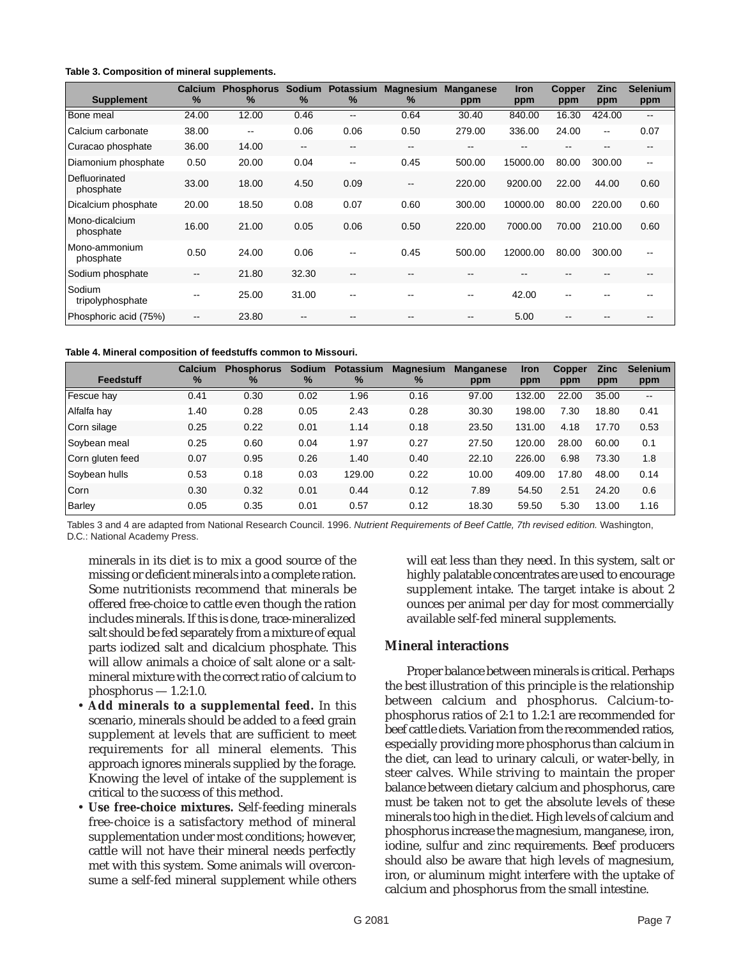| Table 3. Composition of mineral supplements. |  |
|----------------------------------------------|--|
|----------------------------------------------|--|

| <b>Supplement</b>           | <b>Calcium</b><br>$\frac{9}{6}$ | <b>Phosphorus</b><br>℅ | <b>Sodium</b><br>$\%$ | <b>Potassium</b><br>$\%$ | <b>Magnesium</b><br>%    | <b>Manganese</b><br>ppm | <b>Iron</b><br>ppm | <b>Copper</b><br>ppm | <b>Zinc</b><br>ppm | <b>Selenium</b><br>ppm   |
|-----------------------------|---------------------------------|------------------------|-----------------------|--------------------------|--------------------------|-------------------------|--------------------|----------------------|--------------------|--------------------------|
| Bone meal                   | 24.00                           | 12.00                  | 0.46                  | $- -$                    | 0.64                     | 30.40                   | 840.00             | 16.30                | 424.00             | $-$                      |
| Calcium carbonate           | 38.00                           | $\sim$ $\sim$          | 0.06                  | 0.06                     | 0.50                     | 279.00                  | 336.00             | 24.00                | $\mathbf{u}$       | 0.07                     |
| Curacao phosphate           | 36.00                           | 14.00                  | $-$                   | $- -$                    | $\sim$ $\sim$            | --                      | --                 | --                   | --                 | $- -$                    |
| Diamonium phosphate         | 0.50                            | 20.00                  | 0.04                  | $-$                      | 0.45                     | 500.00                  | 15000.00           | 80.00                | 300.00             | $\overline{\phantom{a}}$ |
| Defluorinated<br>phosphate  | 33.00                           | 18.00                  | 4.50                  | 0.09                     | --                       | 220.00                  | 9200.00            | 22.00                | 44.00              | 0.60                     |
| Dicalcium phosphate         | 20.00                           | 18.50                  | 0.08                  | 0.07                     | 0.60                     | 300.00                  | 10000.00           | 80.00                | 220.00             | 0.60                     |
| Mono-dicalcium<br>phosphate | 16.00                           | 21.00                  | 0.05                  | 0.06                     | 0.50                     | 220.00                  | 7000.00            | 70.00                | 210.00             | 0.60                     |
| Mono-ammonium<br>phosphate  | 0.50                            | 24.00                  | 0.06                  | $- -$                    | 0.45                     | 500.00                  | 12000.00           | 80.00                | 300.00             | $\overline{\phantom{a}}$ |
| Sodium phosphate            | --                              | 21.80                  | 32.30                 | $-$                      | $\overline{\phantom{a}}$ | --                      | --                 |                      |                    | --                       |
| Sodium<br>tripolyphosphate  | --                              | 25.00                  | 31.00                 | $- -$                    | --                       | --                      | 42.00              | --                   |                    | $- -$                    |
| Phosphoric acid (75%)       | --                              | 23.80                  | --                    | $- -$                    | $\qquad \qquad -$        | --                      | 5.00               | --                   |                    | $- -$                    |

**Table 4. Mineral composition of feedstuffs common to Missouri.**

| Feedstuff        | Calcium<br>$\%$ | <b>Phosphorus</b><br>$\%$ | <b>Sodium</b><br>$\%$ | <b>Potassium</b><br>$\%$ | <b>Magnesium</b><br>$\frac{9}{6}$ | <b>Manganese</b><br>ppm | <b>Iron</b><br>ppm | <b>Copper</b><br>ppm | <b>Zinc</b><br>ppm | <b>Selenium</b><br>ppm |
|------------------|-----------------|---------------------------|-----------------------|--------------------------|-----------------------------------|-------------------------|--------------------|----------------------|--------------------|------------------------|
| Fescue hay       | 0.41            | 0.30                      | 0.02                  | 1.96                     | 0.16                              | 97.00                   | 132.00             | 22.00                | 35.00              | $\hspace{0.05cm}$      |
| Alfalfa hay      | 1.40            | 0.28                      | 0.05                  | 2.43                     | 0.28                              | 30.30                   | 198.00             | 7.30                 | 18.80              | 0.41                   |
| Corn silage      | 0.25            | 0.22                      | 0.01                  | 1.14                     | 0.18                              | 23.50                   | 131.00             | 4.18                 | 17.70              | 0.53                   |
| Soybean meal     | 0.25            | 0.60                      | 0.04                  | 1.97                     | 0.27                              | 27.50                   | 120.00             | 28.00                | 60.00              | 0.1                    |
| Corn gluten feed | 0.07            | 0.95                      | 0.26                  | 1.40                     | 0.40                              | 22.10                   | 226.00             | 6.98                 | 73.30              | 1.8                    |
| Sovbean hulls    | 0.53            | 0.18                      | 0.03                  | 129.00                   | 0.22                              | 10.00                   | 409.00             | 17.80                | 48.00              | 0.14                   |
| Corn             | 0.30            | 0.32                      | 0.01                  | 0.44                     | 0.12                              | 7.89                    | 54.50              | 2.51                 | 24.20              | 0.6                    |
| Barley           | 0.05            | 0.35                      | 0.01                  | 0.57                     | 0.12                              | 18.30                   | 59.50              | 5.30                 | 13.00              | 1.16                   |

Tables 3 and 4 are adapted from National Research Council. 1996. Nutrient Requirements of Beef Cattle, 7th revised edition. Washington, D.C.: National Academy Press.

minerals in its diet is to mix a good source of the missing or deficient minerals into a complete ration. Some nutritionists recommend that minerals be offered free-choice to cattle even though the ration includes minerals. If this is done, trace-mineralized salt should be fed separately from a mixture of equal parts iodized salt and dicalcium phosphate. This will allow animals a choice of salt alone or a saltmineral mixture with the correct ratio of calcium to  $phosphorus - 1.2:1.0.$ 

- **Add minerals to a supplemental feed.** In this scenario, minerals should be added to a feed grain supplement at levels that are sufficient to meet requirements for all mineral elements. This approach ignores minerals supplied by the forage. Knowing the level of intake of the supplement is critical to the success of this method.
- **Use free-choice mixtures.** Self-feeding minerals free-choice is a satisfactory method of mineral supplementation under most conditions; however, cattle will not have their mineral needs perfectly met with this system. Some animals will overconsume a self-fed mineral supplement while others

will eat less than they need. In this system, salt or highly palatable concentrates are used to encourage supplement intake. The target intake is about 2 ounces per animal per day for most commercially available self-fed mineral supplements.

#### **Mineral interactions**

Proper balance between minerals is critical. Perhaps the best illustration of this principle is the relationship between calcium and phosphorus. Calcium-tophosphorus ratios of 2:1 to 1.2:1 are recommended for beef cattle diets. Variation from the recommended ratios, especially providing more phosphorus than calcium in the diet, can lead to urinary calculi, or water-belly, in steer calves. While striving to maintain the proper balance between dietary calcium and phosphorus, care must be taken not to get the absolute levels of these minerals too high in the diet. High levels of calcium and phosphorus increase the magnesium, manganese, iron, iodine, sulfur and zinc requirements. Beef producers should also be aware that high levels of magnesium, iron, or aluminum might interfere with the uptake of calcium and phosphorus from the small intestine.